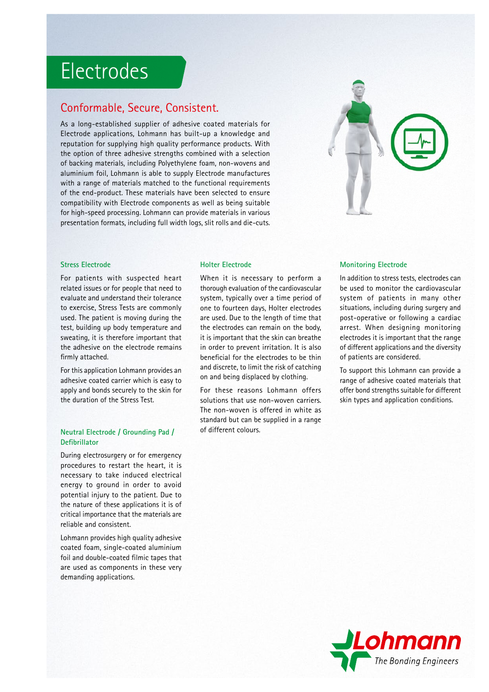## Electrodes

### Conformable, Secure, Consistent.

As a long-established supplier of adhesive coated materials for Electrode applications, Lohmann has built-up a knowledge and reputation for supplying high quality performance products. With the option of three adhesive strengths combined with a selection of backing materials, including Polyethylene foam, non-wovens and aluminium foil, Lohmann is able to supply Electrode manufactures with a range of materials matched to the functional requirements of the end-product. These materials have been selected to ensure compatibility with Electrode components as well as being suitable for high-speed processing. Lohmann can provide materials in various presentation formats, including full width logs, slit rolls and die-cuts.



#### **Stress Electrode**

For patients with suspected heart related issues or for people that need to evaluate and understand their tolerance to exercise, Stress Tests are commonly used. The patient is moving during the test, building up body temperature and sweating, it is therefore important that the adhesive on the electrode remains firmly attached.

For this application Lohmann provides an adhesive coated carrier which is easy to apply and bonds securely to the skin for the duration of the Stress Test.

#### **Neutral Electrode / Grounding Pad / Defi brillator**

During electrosurgery or for emergency procedures to restart the heart, it is necessary to take induced electrical energy to ground in order to avoid potential injury to the patient. Due to the nature of these applications it is of critical importance that the materials are reliable and consistent.

Lohmann provides high quality adhesive coated foam, single-coated aluminium foil and double-coated filmic tapes that are used as components in these very demanding applications.

#### **Holter Electrode**

When it is necessary to perform a thorough evaluation of the cardiovascular system, typically over a time period of one to fourteen days, Holter electrodes are used. Due to the length of time that the electrodes can remain on the body, it is important that the skin can breathe in order to prevent irritation. It is also beneficial for the electrodes to be thin and discrete, to limit the risk of catching on and being displaced by clothing.

For these reasons Lohmann offers solutions that use non-woven carriers. The non-woven is offered in white as standard but can be supplied in a range of different colours.

#### **Monitoring Electrode**

In addition to stress tests, electrodes can be used to monitor the cardiovascular system of patients in many other situations, including during surgery and post-operative or following a cardiac arrest. When designing monitoring electrodes it is important that the range of different applications and the diversity of patients are considered.

To support this Lohmann can provide a range of adhesive coated materials that offer bond strengths suitable for different skin types and application conditions.